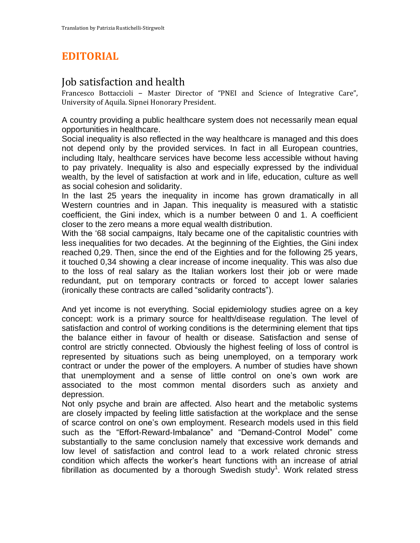## **EDITORIAL**

## Job satisfaction and health

Francesco Bottaccioli – Master Director of "PNEI and Science of Integrative Care", University of Aquila. Sipnei Honorary President.

A country providing a public healthcare system does not necessarily mean equal opportunities in healthcare.

Social inequality is also reflected in the way healthcare is managed and this does not depend only by the provided services. In fact in all European countries, including Italy, healthcare services have become less accessible without having to pay privately. Inequality is also and especially expressed by the individual wealth, by the level of satisfaction at work and in life, education, culture as well as social cohesion and solidarity.

In the last 25 years the inequality in income has grown dramatically in all Western countries and in Japan. This inequality is measured with a statistic coefficient, the Gini index, which is a number between 0 and 1. A coefficient closer to the zero means a more equal wealth distribution.

With the '68 social campaigns, Italy became one of the capitalistic countries with less inequalities for two decades. At the beginning of the Eighties, the Gini index reached 0,29. Then, since the end of the Eighties and for the following 25 years, it touched 0,34 showing a clear increase of income inequality. This was also due to the loss of real salary as the Italian workers lost their job or were made redundant, put on temporary contracts or forced to accept lower salaries (ironically these contracts are called "solidarity contracts").

And yet income is not everything. Social epidemiology studies agree on a key concept: work is a primary source for health/disease regulation. The level of satisfaction and control of working conditions is the determining element that tips the balance either in favour of health or disease. Satisfaction and sense of control are strictly connected. Obviously the highest feeling of loss of control is represented by situations such as being unemployed, on a temporary work contract or under the power of the employers. A number of studies have shown that unemployment and a sense of little control on one's own work are associated to the most common mental disorders such as anxiety and depression.

Not only psyche and brain are affected. Also heart and the metabolic systems are closely impacted by feeling little satisfaction at the workplace and the sense of scarce control on one's own employment. Research models used in this field such as the "Effort-Reward-Imbalance" and "Demand-Control Model" come substantially to the same conclusion namely that excessive work demands and low level of satisfaction and control lead to a work related chronic stress condition which affects the worker's heart functions with an increase of atrial fibrillation as documented by a thorough Swedish study<sup>1</sup>. Work related stress